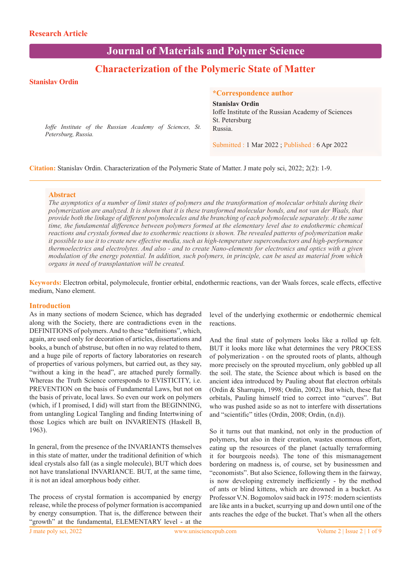# **Journal of Materials and Polymer Science**

## **Characterization of the Polymeric State of Matter**

## **Stanislav Ordin**

#### **\*Correspondence author**

**Stanislav Ordin**

*Ioffe Institute of the Russian Academy of Sciences, St. Petersburg, Russia.*

Ioffe Institute of the Russian Academy of Sciences St. Petersburg Russia.

Submitted : 1 Mar 2022 ; Published : 6 Apr 2022

**Citation:** Stanislav Ordin. Characterization of the Polymeric State of Matter. J mate poly sci, 2022; 2(2): 1-9.

#### **Abstract**

*The asymptotics of a number of limit states of polymers and the transformation of molecular orbitals during their polymerization are analyzed. It is shown that it is these transformed molecular bonds, and not van der Waals, that provide both the linkage of different polymolecules and the branching of each polymolecule separately. At the same time, the fundamental difference between polymers formed at the elementary level due to endothermic chemical reactions and crystals formed due to exothermic reactions is shown. The revealed patterns of polymerization make it possible to use it to create new effective media, such as high-temperature superconductors and high-performance thermoelectrics and electrolytes. And also - and to create Nano-elements for electronics and optics with a given modulation of the energy potential. In addition, such polymers, in principle, can be used as material from which organs in need of transplantation will be created.*

**Keywords:** Electron orbital, polymolecule, frontier orbital, endothermic reactions, van der Waals forces, scale effects, effective medium, Nano element.

#### **Introduction**

As in many sections of modern Science, which has degraded along with the Society, there are contradictions even in the DEFINITIONS of polymers. And to these "definitions", which, again, are used only for decoration of articles, dissertations and books, a bunch of abstruse, but often in no way related to them, and a huge pile of reports of factory laboratories on research of properties of various polymers, but carried out, as they say, "without a king in the head", are attached purely formally. Whereas the Truth Science corresponds to EVISTICITY, i.e. PREVENTION on the basis of Fundamental Laws, but not on the basis of private, local laws. So even our work on polymers (which, if I promised, I did) will start from the BEGINNING, from untangling Logical Tangling and finding Intertwining of those Logics which are built on INVARIENTS (Haskell B, 1963).

In general, from the presence of the INVARIANTS themselves in this state of matter, under the traditional definition of which ideal crystals also fall (as a single molecule), BUT which does not have translational INVARIANCE. BUT, at the same time, it is not an ideal amorphous body either.

The process of crystal formation is accompanied by energy release, while the process of polymer formation is accompanied by energy consumption. That is, the difference between their "growth" at the fundamental, ELEMENTARY level - at the

level of the underlying exothermic or endothermic chemical reactions.

And the final state of polymers looks like a rolled up felt. BUT it looks more like what determines the very PROCESS of polymerization - on the sprouted roots of plants, although more precisely on the sprouted mycelium, only gobbled up all the soil. The state, the Science about which is based on the ancient idea introduced by Pauling about flat electron orbitals (Ordin & Sharrupin, 1998; Ordin, 2002). But which, these flat orbitals, Pauling himself tried to correct into "curves". But who was pushed aside so as not to interfere with dissertations and "scientific" titles (Ordin, 2008; Ordin, (n.d)).

So it turns out that mankind, not only in the production of polymers, but also in their creation, wastes enormous effort, eating up the resources of the planet (actually terraforming it for bourgeois needs). The tone of this mismanagement bordering on madness is, of course, set by businessmen and "economists". But also Science, following them in the fairway, is now developing extremely inefficiently - by the method of ants or blind kittens, which are drowned in a bucket. As Professor V.N. Bogomolov said back in 1975: modern scientists are like ants in a bucket, scurrying up and down until one of the ants reaches the edge of the bucket. That's when all the others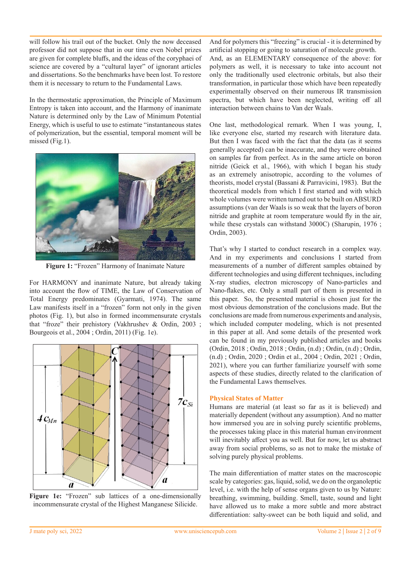will follow his trail out of the bucket. Only the now deceased professor did not suppose that in our time even Nobel prizes are given for complete bluffs, and the ideas of the coryphaei of science are covered by a "cultural layer" of ignorant articles and dissertations. So the benchmarks have been lost. To restore them it is necessary to return to the Fundamental Laws.

In the thermostatic approximation, the Principle of Maximum Entropy is taken into account, and the Harmony of inanimate Nature is determined only by the Law of Minimum Potential Energy, which is useful to use to estimate "instantaneous states of polymerization, but the essential, temporal moment will be missed (Fig.1).



**Figure 1:** "Frozen" Harmony of Inanimate Nature

For HARMONY and inanimate Nature, but already taking into account the flow of TIME, the Law of Conservation of Total Energy predominates (Gyarmati, 1974). The same Law manifests itself in a "frozen" form not only in the given photos (Fig. 1), but also in formed incommensurate crystals that "froze" their prehistory (Vakhrushev & Ordin, 2003 ; Bourgeois et al., 2004 ; Ordin, 2011) (Fig. 1e).



**Figure 1e:** "Frozen" sub lattices of a one-dimensionally incommensurate crystal of the Highest Manganese Silicide.

And for polymers this "freezing" is crucial - it is determined by artificial stopping or going to saturation of molecule growth.

And, as an ELEMENTARY consequence of the above: for polymers as well, it is necessary to take into account not only the traditionally used electronic orbitals, but also their transformation, in particular those which have been repeatedly experimentally observed on their numerous IR transmission spectra, but which have been neglected, writing off all interaction between chains to Van der Waals.

One last, methodological remark. When I was young, I, like everyone else, started my research with literature data. But then I was faced with the fact that the data (as it seems generally accepted) can be inaccurate, and they were obtained on samples far from perfect. As in the same article on boron nitride (Geick et al., 1966), with which I began his study as an extremely anisotropic, according to the volumes of theorists, model crystal (Bassani & Parravicini, 1983). But the theoretical models from which I first started and with which whole volumes were written turned out to be built on ABSURD assumptions (van der Waals is so weak that the layers of boron nitride and graphite at room temperature would fly in the air, while these crystals can withstand 3000C) (Sharupin, 1976 ; Ordin, 2003).

That's why I started to conduct research in a complex way. And in my experiments and conclusions I started from measurements of a number of different samples obtained by different technologies and using different techniques, including X-ray studies, electron microscopy of Nano-particles and Nano-flakes, etc. Only a small part of them is presented in this paper. So, the presented material is chosen just for the most obvious demonstration of the conclusions made. But the conclusions are made from numerous experiments and analysis, which included computer modeling, which is not presented in this paper at all. And some details of the presented work can be found in my previously published articles and books (Ordin, 2018 ; Ordin, 2018 ; Ordin, (n.d) ; Ordin, (n.d) ; Ordin, (n.d) ; Ordin, 2020 ; Ordin et al., 2004 ; Ordin, 2021 ; Ordin, 2021), where you can further familiarize yourself with some aspects of these studies, directly related to the clarification of the Fundamental Laws themselves.

## **Physical States of Matter**

Humans are material (at least so far as it is believed) and materially dependent (without any assumption). And no matter how immersed you are in solving purely scientific problems, the processes taking place in this material human environment will inevitably affect you as well. But for now, let us abstract away from social problems, so as not to make the mistake of solving purely physical problems.

The main differentiation of matter states on the macroscopic scale by categories: gas, liquid, solid, we do on the organoleptic level, i.e. with the help of sense organs given to us by Nature: breathing, swimming, building. Smell, taste, sound and light have allowed us to make a more subtle and more abstract differentiation: salty-sweet can be both liquid and solid, and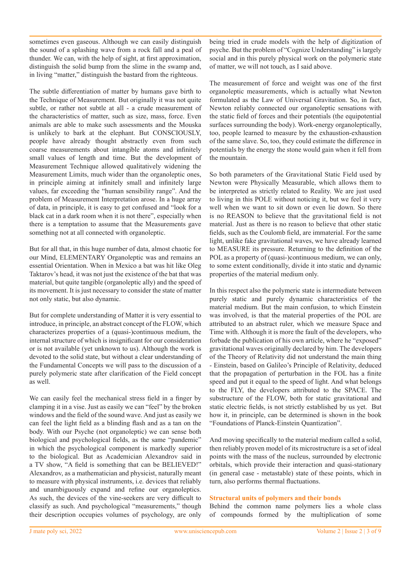sometimes even gaseous. Although we can easily distinguish the sound of a splashing wave from a rock fall and a peal of thunder. We can, with the help of sight, at first approximation, distinguish the solid bump from the slime in the swamp and, in living "matter," distinguish the bastard from the righteous.

The subtle differentiation of matter by humans gave birth to the Technique of Measurement. But originally it was not quite subtle, or rather not subtle at all - a crude measurement of the characteristics of matter, such as size, mass, force. Even animals are able to make such assessments and the Mouska is unlikely to bark at the elephant. But CONSCIOUSLY, people have already thought abstractly even from such coarse measurements about intangible atoms and infinitely small values of length and time. But the development of Measurement Technique allowed qualitatively widening the Measurement Limits, much wider than the organoleptic ones, in principle aiming at infinitely small and infinitely large values, far exceeding the "human sensibility range". And the problem of Measurement Interpretation arose. In a huge array of data, in principle, it is easy to get confused and "look for a black cat in a dark room when it is not there", especially when there is a temptation to assume that the Measurements gave something not at all connected with organoleptic.

But for all that, in this huge number of data, almost chaotic for our Mind, ELEMENTARY Organoleptic was and remains an essential Orientation. When in Mexico a bat was hit like Oleg Taktarov's head, it was not just the existence of the bat that was material, but quite tangible (organoleptic ally) and the speed of its movement. It is just necessary to consider the state of matter not only static, but also dynamic.

But for complete understanding of Matter it is very essential to introduce, in principle, an abstract concept of the FLOW, which characterizes properties of a (quasi-)continuous medium, the internal structure of which is insignificant for our consideration or is not available (yet unknown to us). Although the work is devoted to the solid state, but without a clear understanding of the Fundamental Concepts we will pass to the discussion of a purely polymeric state after clarification of the Field concept as well.

We can easily feel the mechanical stress field in a finger by clamping it in a vise. Just as easily we can "feel" by the broken windows and the field of the sound wave. And just as easily we can feel the light field as a blinding flash and as a tan on the body. With our Psyche (not organoleptic) we can sense both biological and psychological fields, as the same "pandemic" in which the psychological component is markedly superior to the biological. But as Academician Alexandrov said in a TV show, "A field is something that can be BELIEVED!" Alexandrov, as a mathematician and physicist, naturally meant to measure with physical instruments, i.e. devices that reliably and unambiguously expand and refine our organoleptics. As such, the devices of the vine-seekers are very difficult to classify as such. And psychological "measurements," though their description occupies volumes of psychology, are only

being tried in crude models with the help of digitization of psyche. But the problem of "Cognize Understanding" is largely social and in this purely physical work on the polymeric state of matter, we will not touch, as I said above.

The measurement of force and weight was one of the first organoleptic measurements, which is actually what Newton formulated as the Law of Universal Gravitation. So, in fact, Newton reliably connected our organoleptic sensations with the static field of forces and their potentials (the equipotential surfaces surrounding the body). Work-energy organoleptically, too, people learned to measure by the exhaustion-exhaustion of the same slave. So, too, they could estimate the difference in potentials by the energy the stone would gain when it fell from the mountain.

So both parameters of the Gravitational Static Field used by Newton were Physically Measurable, which allows them to be interpreted as strictly related to Reality. We are just used to living in this POLE without noticing it, but we feel it very well when we want to sit down or even lie down. So there is no REASON to believe that the gravitational field is not material. Just as there is no reason to believe that other static fields, such as the Coulomb field, are immaterial. For the same light, unlike fake gravitational waves, we have already learned to MEASURE its pressure. Returning to the definition of the POL as a property of (quasi-)continuous medium, we can only, to some extent conditionally, divide it into static and dynamic properties of the material medium only.

In this respect also the polymeric state is intermediate between purely static and purely dynamic characteristics of the material medium. But the main confusion, to which Einstein was involved, is that the material properties of the POL are attributed to an abstract ruler, which we measure Space and Time with. Although it is more the fault of the developers, who forbade the publication of his own article, where he "exposed" gravitational waves originally declared by him. The developers of the Theory of Relativity did not understand the main thing - Einstein, based on Galileo's Principle of Relativity, deduced that the propagation of perturbation in the FOL has a finite speed and put it equal to the speed of light. And what belongs to the FLY, the developers attributed to the SPACE. The substructure of the FLOW, both for static gravitational and static electric fields, is not strictly established by us yet. But how it, in principle, can be determined is shown in the book "Foundations of Planck-Einstein Quantization".

And moving specifically to the material medium called a solid, then reliably proven model of its microstructure is a set of ideal points with the mass of the nucleus, surrounded by electronic orbitals, which provide their interaction and quasi-stationary (in general case - metastable) state of these points, which in turn, also performs thermal fluctuations.

#### **Structural units of polymers and their bonds**

Behind the common name polymers lies a whole class of compounds formed by the multiplication of some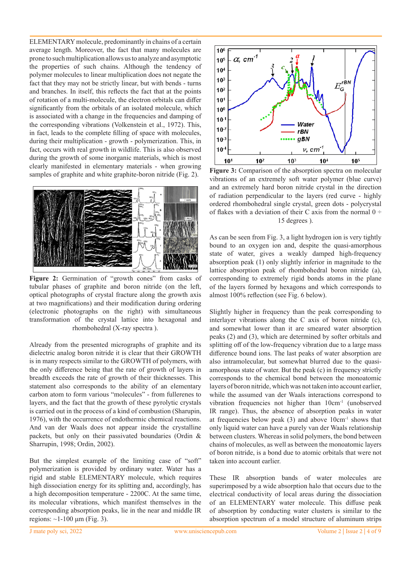ELEMENTARY molecule, predominantly in chains of a certain average length. Moreover, the fact that many molecules are prone to such multiplication allows us to analyze and asymptotic the properties of such chains. Although the tendency of polymer molecules to linear multiplication does not negate the fact that they may not be strictly linear, but with bends - turns and branches. In itself, this reflects the fact that at the points of rotation of a multi-molecule, the electron orbitals can differ significantly from the orbitals of an isolated molecule, which is associated with a change in the frequencies and damping of the corresponding vibrations (Volkenstein et al., 1972). This, in fact, leads to the complete filling of space with molecules, during their multiplication - growth - polymerization. This, in fact, occurs with real growth in wildlife. This is also observed during the growth of some inorganic materials, which is most clearly manifested in elementary materials - when growing samples of graphite and white graphite-boron nitride (Fig. 2).



Figure 2: Germination of "growth cones" from casks of tubular phases of graphite and boron nitride (on the left, optical photographs of crystal fracture along the growth axis at two magnifications) and their modification during ordering (electronic photographs on the right) with simultaneous transformation of the crystal lattice into hexagonal and rhombohedral (X-ray spectra ).

Already from the presented micrographs of graphite and its dielectric analog boron nitride it is clear that their GROWTH is in many respects similar to the GROWTH of polymers, with the only difference being that the rate of growth of layers in breadth exceeds the rate of growth of their thicknesses. This statement also corresponds to the ability of an elementary carbon atom to form various "molecules" - from fullerenes to layers, and the fact that the growth of these pyrolytic crystals is carried out in the process of a kind of combustion (Sharupin, 1976), with the occurrence of endothermic chemical reactions. And van der Waals does not appear inside the crystalline packets, but only on their passivated boundaries (Ordin & Sharrupin, 1998; Ordin, 2002).

But the simplest example of the limiting case of "soft" polymerization is provided by ordinary water. Water has a rigid and stable ELEMENTARY molecule, which requires high dissociation energy for its splitting and, accordingly, has a high decomposition temperature - 2200C. At the same time, its molecular vibrations, which manifest themselves in the corresponding absorption peaks, lie in the near and middle IR regions:  $\sim$ 1-100 μm (Fig. 3).



**Figure 3:** Comparison of the absorption spectra on molecular vibrations of an extremely soft water polymer (blue curve) and an extremely hard boron nitride crystal in the direction of radiation perpendicular to the layers (red curve - highly ordered rhombohedral single crystal, green dots - polycrystal of flakes with a deviation of their C axis from the normal  $0 \div$ 15 degrees ).

As can be seen from Fig. 3, a light hydrogen ion is very tightly bound to an oxygen ion and, despite the quasi-amorphous state of water, gives a weakly damped high-frequency absorption peak (1) only slightly inferior in magnitude to the lattice absorption peak of rhombohedral boron nitride (a), corresponding to extremely rigid bonds atoms in the plane of the layers formed by hexagons and which corresponds to almost 100% reflection (see Fig. 6 below).

Slightly higher in frequency than the peak corresponding to interlayer vibrations along the C axis of boron nitride (c), and somewhat lower than it are smeared water absorption peaks (2) and (3), which are determined by softer orbitals and splitting off of the low-frequency vibration due to a large mass difference bound ions. The last peaks of water absorption are also intramolecular, but somewhat blurred due to the quasiamorphous state of water. But the peak (c) in frequency strictly corresponds to the chemical bond between the monoatomic layers of boron nitride, which was not taken into account earlier, while the assumed van der Waals interactions correspond to vibration frequencies not higher than  $10 \text{cm}^{-1}$  (unobserved IR range). Thus, the absence of absorption peaks in water at frequencies below peak  $(3)$  and above  $10 \text{cm}^{-1}$  shows that only liquid water can have a purely van der Waals relationship between clusters. Whereas in solid polymers, the bond between chains of molecules, as well as between the monoatomic layers of boron nitride, is a bond due to atomic orbitals that were not taken into account earlier.

These IR absorption bands of water molecules are superimposed by a wide absorption halo that occurs due to the electrical conductivity of local areas during the dissociation of an ELEMENTARY water molecule. This diffuse peak of absorption by conducting water clusters is similar to the absorption spectrum of a model structure of aluminum strips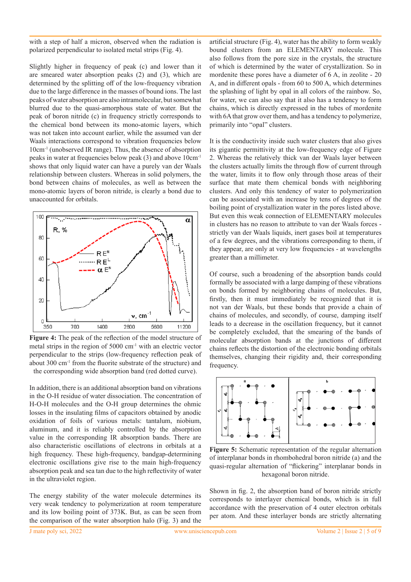with a step of half a micron, observed when the radiation is polarized perpendicular to isolated metal strips (Fig. 4).

Slightly higher in frequency of peak (c) and lower than it are smeared water absorption peaks (2) and (3), which are determined by the splitting off of the low-frequency vibration due to the large difference in the masses of bound ions. The last peaks of water absorption are also intramolecular, but somewhat blurred due to the quasi-amorphous state of water. But the peak of boron nitride (c) in frequency strictly corresponds to the chemical bond between its mono-atomic layers, which was not taken into account earlier, while the assumed van der Waals interactions correspond to vibration frequencies below 10cm-1 (unobserved IR range). Thus, the absence of absorption peaks in water at frequencies below peak (3) and above 10cm-1 shows that only liquid water can have a purely van der Waals relationship between clusters. Whereas in solid polymers, the bond between chains of molecules, as well as between the mono-atomic layers of boron nitride, is clearly a bond due to unaccounted for orbitals.



**Figure 4:** The peak of the reflection of the model structure of metal strips in the region of  $5000 \text{ cm}^{-1}$  with an electric vector perpendicular to the strips (low-frequency reflection peak of about 300 cm-1 from the fluorite substrate of the structure) and the corresponding wide absorption band (red dotted curve).

In addition, there is an additional absorption band on vibrations in the О-Н residue of water dissociation. The concentration of H-O-H molecules and the O-H group determines the ohmic losses in the insulating films of capacitors obtained by anodic oxidation of foils of various metals: tantalum, niobium, aluminum, and it is reliably controlled by the absorption value in the corresponding IR absorption bands. There are also characteristic oscillations of electrons in orbitals at a high frequency. These high-frequency, bandgap-determining electronic oscillations give rise to the main high-frequency absorption peak and sea tan due to the high reflectivity of water in the ultraviolet region.

The energy stability of the water molecule determines its very weak tendency to polymerization at room temperature and its low boiling point of 373K. But, as can be seen from the comparison of the water absorption halo (Fig. 3) and the

artificial structure (Fig. 4), water has the ability to form weakly bound clusters from an ELEMENTARY molecule. This also follows from the pore size in the crystals, the structure of which is determined by the water of crystallization. So in mordenite these pores have a diameter of 6 A, in zeolite - 20 A, and in different opals - from 60 to 500 A, which determines the splashing of light by opal in all colors of the rainbow. So, for water, we can also say that it also has a tendency to form chains, which is directly expressed in the tubes of mordenite with 6A that grow over them, and has a tendency to polymerize, primarily into "opal" clusters.

It is the conductivity inside such water clusters that also gives its gigantic permittivity at the low-frequency edge of Figure 2. Whereas the relatively thick van der Waals layer between the clusters actually limits the through flow of current through the water, limits it to flow only through those areas of their surface that mate them chemical bonds with neighboring clusters. And only this tendency of water to polymerization can be associated with an increase by tens of degrees of the boiling point of crystallization water in the pores listed above. But even this weak connection of ELEMENTARY molecules in clusters has no reason to attribute to van der Waals forces strictly van der Waals liquids, inert gases boil at temperatures of a few degrees, and the vibrations corresponding to them, if they appear, are only at very low frequencies - at wavelengths greater than a millimeter.

Of course, such a broadening of the absorption bands could formally be associated with a large damping of these vibrations on bonds formed by neighboring chains of molecules. But, firstly, then it must immediately be recognized that it is not van der Waals, but these bonds that provide a chain of chains of molecules, and secondly, of course, damping itself leads to a decrease in the oscillation frequency, but it cannot be completely excluded, that the smearing of the bands of molecular absorption bands at the junctions of different chains reflects the distortion of the electronic bonding orbitals themselves, changing their rigidity and, their corresponding frequency.



**Figure 5:** Schematic representation of the regular alternation of interplanar bonds in rhombohedral boron nitride (a) and the quasi-regular alternation of "flickering" interplanar bonds in hexagonal boron nitride.

Shown in fig. 2, the absorption band of boron nitride strictly corresponds to interlayer chemical bonds, which is in full accordance with the preservation of 4 outer electron orbitals per atom. And these interlayer bonds are strictly alternating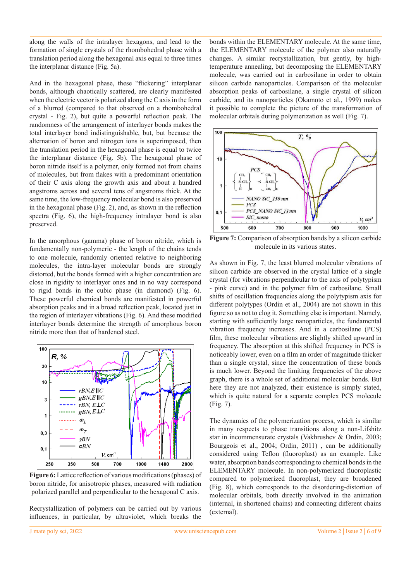along the walls of the intralayer hexagons, and lead to the formation of single crystals of the rhombohedral phase with a translation period along the hexagonal axis equal to three times the interplanar distance (Fig. 5a).

And in the hexagonal phase, these "flickering" interplanar bonds, although chaotically scattered, are clearly manifested when the electric vector is polarized along the C axis in the form of a blurred (compared to that observed on a rhombohedral crystal - Fig. 2), but quite a powerful reflection peak. The randomness of the arrangement of interlayer bonds makes the total interlayer bond indistinguishable, but, but because the alternation of boron and nitrogen ions is superimposed, then the translation period in the hexagonal phase is equal to twice the interplanar distance (Fig. 5b). The hexagonal phase of boron nitride itself is a polymer, only formed not from chains of molecules, but from flakes with a predominant orientation of their C axis along the growth axis and about a hundred angstroms across and several tens of angstroms thick. At the same time, the low-frequency molecular bond is also preserved in the hexagonal phase (Fig. 2), and, as shown in the reflection spectra (Fig. 6), the high-frequency intralayer bond is also preserved.

In the amorphous (gamma) phase of boron nitride, which is fundamentally non-polymeric - the length of the chains tends to one molecule, randomly oriented relative to neighboring molecules, the intra-layer molecular bonds are strongly distorted, but the bonds formed with a higher concentration are close in rigidity to interlayer ones and in no way correspond to rigid bonds in the cubic phase (in diamond) (Fig. 6). These powerful chemical bonds are manifested in powerful absorption peaks and in a broad reflection peak, located just in the region of interlayer vibrations (Fig. 6). And these modified interlayer bonds determine the strength of amorphous boron nitride more than that of hardened steel.



**Figure 6:** Lattice reflection of various modifications (phases) of boron nitride, for anisotropic phases, measured with radiation polarized parallel and perpendicular to the hexagonal C axis.

Recrystallization of polymers can be carried out by various influences, in particular, by ultraviolet, which breaks the bonds within the ELEMENTARY molecule. At the same time, the ELEMENTARY molecule of the polymer also naturally changes. A similar recrystallization, but gently, by hightemperature annealing, but decomposing the ELEMENTARY molecule, was carried out in carbosilane in order to obtain silicon carbide nanoparticles. Comparison of the molecular absorption peaks of carbosilane, a single crystal of silicon carbide, and its nanoparticles (Okamoto et al., 1999) makes it possible to complete the picture of the transformation of molecular orbitals during polymerization as well (Fig. 7).



**Figure 7:** Comparison of absorption bands by a silicon carbide molecule in its various states.

As shown in Fig. 7, the least blurred molecular vibrations of silicon carbide are observed in the crystal lattice of a single crystal (for vibrations perpendicular to the axis of polytypism - pink curve) and in the polymer film of carbosilane. Small shifts of oscillation frequencies along the polytypism axis for different polytypes (Ordin et al., 2004) are not shown in this figure so as not to clog it. Something else is important. Namely, starting with sufficiently large nanoparticles, the fundamental vibration frequency increases. And in a carbosilane (PCS) film, these molecular vibrations are slightly shifted upward in frequency. The absorption at this shifted frequency in PCS is noticeably lower, even on a film an order of magnitude thicker than a single crystal, since the concentration of these bonds is much lower. Beyond the limiting frequencies of the above graph, there is a whole set of additional molecular bonds. But here they are not analyzed, their existence is simply stated, which is quite natural for a separate complex PCS molecule (Fig. 7).

The dynamics of the polymerization process, which is similar in many respects to phase transitions along a non-Lifshitz star in incommensurate crystals (Vakhrushev & Ordin, 2003; Bourgeois et al., 2004; Ordin, 2011) , can be additionally considered using Teflon (fluoroplast) as an example. Like water, absorption bands corresponding to chemical bonds in the ELEMENTARY molecule. In non-polymerized fluoroplastic compared to polymerized fluoroplast, they are broadened (Fig. 8), which corresponds to the disordering-distortion of molecular orbitals, both directly involved in the animation (internal, in shortened chains) and connecting different chains (external).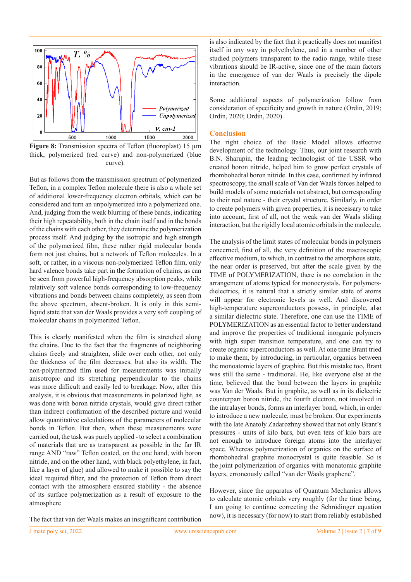

**Figure 8:** Transmission spectra of Teflon (fluoroplast) 15 µm thick, polymerized (red curve) and non-polymerized (blue curve).

But as follows from the transmission spectrum of polymerized Teflon, in a complex Teflon molecule there is also a whole set of additional lower-frequency electron orbitals, which can be considered and turn an unpolymerized into a polymerized one. And, judging from the weak blurring of these bands, indicating their high repeatability, both in the chain itself and in the bonds of the chains with each other, they determine the polymerization process itself. And judging by the isotropic and high strength of the polymerized film, these rather rigid molecular bonds form not just chains, but a network of Teflon molecules. In a soft, or rather, in a viscous non-polymerized Teflon film, only hard valence bonds take part in the formation of chains, as can be seen from powerful high-frequency absorption peaks, while relatively soft valence bonds corresponding to low-frequency vibrations and bonds between chains completely, as seen from the above spectrum, absent-broken. It is only in this semiliquid state that van der Waals provides a very soft coupling of molecular chains in polymerized Teflon.

This is clearly manifested when the film is stretched along the chains. Due to the fact that the fragments of neighboring chains freely and straighten, slide over each other, not only the thickness of the film decreases, but also its width. The non-polymerized film used for measurements was initially anisotropic and its stretching perpendicular to the chains was more difficult and easily led to breakage. Now, after this analysis, it is obvious that measurements in polarized light, as was done with boron nitride crystals, would give direct rather than indirect confirmation of the described picture and would allow quantitative calculations of the parameters of molecular bonds in Teflon. But then, when these measurements were carried out, the task was purely applied - to select a combination of materials that are as transparent as possible in the far IR range AND "raw" Teflon coated, on the one hand, with boron nitride, and on the other hand, with black polyethylene, in fact, like a layer of glue) and allowed to make it possible to say the ideal required filter, and the protection of Teflon from direct contact with the atmosphere ensured stability - the absence of its surface polymerization as a result of exposure to the atmosphere

is also indicated by the fact that it practically does not manifest itself in any way in polyethylene, and in a number of other studied polymers transparent to the radio range, while these vibrations should be IR-active, since one of the main factors in the emergence of van der Waals is precisely the dipole interaction.

Some additional aspects of polymerization follow from consideration of specificity and growth in nature (Ordin, 2019; Ordin, 2020; Ordin, 2020).

### **Conclusion**

The right choice of the Basic Model allows effective development of the technology. Thus, our joint research with B.N. Sharupin, the leading technologist of the USSR who created boron nitride, helped him to grow perfect crystals of rhombohedral boron nitride. In this case, confirmed by infrared spectroscopy, the small scale of Van der Waals forces helped to build models of some materials not abstract, but corresponding to their real nature - their crystal structure. Similarly, in order to create polymers with given properties, it is necessary to take into account, first of all, not the weak van der Waals sliding interaction, but the rigidly local atomic orbitals in the molecule.

The analysis of the limit states of molecular bonds in polymers concerned, first of all, the very definition of the macroscopic effective medium, to which, in contrast to the amorphous state, the near order is preserved, but after the scale given by the TIME of POLYMERIZATION, there is no correlation in the arrangement of atoms typical for monocrystals. For polymersdielectrics, it is natural that a strictly similar state of atoms will appear for electronic levels as well. And discovered high-temperature superconductors possess, in principle, also a similar dielectric state. Therefore, one can use the TIME of POLYMERIZATION as an essential factor to better understand and improve the properties of traditional inorganic polymers with high super transition temperature, and one can try to create organic superconductors as well. At one time Brant tried to make them, by introducing, in particular, organics between the monoatomic layers of graphite. But this mistake too, Brant was still the same - traditional. He, like everyone else at the time, believed that the bond between the layers in graphite was Van der Waals. But in graphite, as well as in its dielectric counterpart boron nitride, the fourth electron, not involved in the intralayer bonds, forms an interlayer bond, which, in order to introduce a new molecule, must be broken. Our experiments with the late Anatoly Zadarozhny showed that not only Brant's pressures - units of kilo bars, but even tens of kilo bars are not enough to introduce foreign atoms into the interlayer space. Whereas polymerization of organics on the surface of rhombohedral graphite monocrystal is quite feasible. So is the joint polymerization of organics with monatomic graphite layers, erroneously called "van der Waals graphene".

However, since the apparatus of Quantum Mechanics allows to calculate atomic orbitals very roughly (for the time being, I am going to continue correcting the Schrödinger equation now), it is necessary (for now) to start from reliably established

The fact that van der Waals makes an insignificant contribution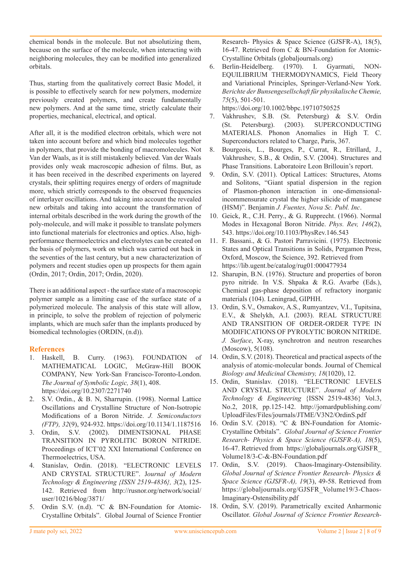chemical bonds in the molecule. But not absolutizing them, because on the surface of the molecule, when interacting with neighboring molecules, they can be modified into generalized orbitals.

Thus, starting from the qualitatively correct Basic Model, it is possible to effectively search for new polymers, modernize previously created polymers, and create fundamentally new polymers. And at the same time, strictly calculate their properties, mechanical, electrical, and optical.

After all, it is the modified electron orbitals, which were not taken into account before and which bind molecules together in polymers, that provide the bonding of macromolecules. Not Van der Waals, as it is still mistakenly believed. Van der Waals provides only weak macroscopic adhesion of films. But, as it has been received in the described experiments on layered crystals, their splitting requires energy of orders of magnitude more, which strictly corresponds to the observed frequencies of interlayer oscillations. And taking into account the revealed new orbitals and taking into account the transformation of internal orbitals described in the work during the growth of the poly-molecule, and will make it possible to translate polymers into functional materials for electronics and optics. Also, highperformance thermoelectrics and electrolytes can be created on the basis of polymers, work on which was carried out back in the seventies of the last century, but a new characterization of polymers and recent studies open up prospects for them again (Ordin, 2017; Ordin, 2017; Ordin, 2020).

There is an additional aspect - the surface state of a macroscopic polymer sample as a limiting case of the surface state of a polymerized molecule. The analysis of this state will allow, in principle, to solve the problem of rejection of polymeric implants, which are much safer than the implants produced by biomedical technologies (ORDIN, (n.d)).

## **References**

- 1. Haskell, B. Curry. (1963). FOUNDATION of MATHEMATICAL LOGIC, McGraw-Hill BOOK COMPANY, New York-San Francisco-Toronto-London. *The Journal of Symbolic Logic, 38*(1), 408. https://doi.org/10.2307/2271740
- 2. S.V. Ordin., & B. N, Sharrupin. (1998). Normal Lattice Oscillations and Crystalline Structure of Non-Isotropic Modifications of a Boron Nitride. *J. Semiconductors (FTP), 32*(9), 924-932. https://doi.org/10.1134/1.1187516
- 3. Ordin, S.V. (2002). DIMENTSIONAL PHASE TRANSITION IN PYROLITIC BORON NITRIDE. Proceedings of ICT'02 XXI International Conference on Thermoelectrics, USA.
- 4. Stanislav, Ordin. (2018). "ELECTRONIC LEVELS AND CRYSTAL STRUCTURE". J*ournal of Modern Technology & Engineering {ISSN 2519-4836}, 3*(2), 125- 142. Retrieved from http://rusnor.org/network/social/ user/10216/blog/3871/
- 5. Ordin S.V. (n.d). "C & BN-Foundation for Atomic-Crystalline Orbitals". Global Journal of Science Frontier

Research- Physics & Space Science (GJSFR-A), 18(5), 16-47. Retrieved from C & BN-Foundation for Atomic-Crystalline Orbitals (globaljournals.org)

6. Berlin-Heidelberg. (1970). I. Gyarmati, NON-EQUILIBRIUM THERMODYNAMICS, Field Theory and Variational Principles, Springer-Verland-New York. *Berichte der Bunsengesellschaft für physikalische Chemie, 75*(5), 501-501.

https://doi.org/10.1002/bbpc.19710750525

- 7. Vakhrushev, S.B. (St. Petersburg) & S.V. Ordin (St. Petersburg). (2003). SUPERCONDUCTING MATERIALS. Phonon Anomalies in High T. C. Superconductors related to Charge, Paris, 367.
- 8. Bourgeois, L., Bourges, P., Currat, R., Etrillard, J., Vakhrushev, S.B., & Ordin, S.V. (2004). Structures and Phase Transitions. Laboratoire Leon Brillouin's report.
- 9. Ordin, S.V. (2011). Optical Lattices: Structures, Atoms and Solitons, "Giant spatial dispersion in the region of Plasmon-phonon interaction in one-dimensionalincommensurate crystal the higher silicide of manganese (HSM)". Benjamin *J. Fuentes, Nova Sc. Publ. Inc*.
- 10. Geick, R., C.H. Perry., & G. Rupprecht. (1966). Normal Modes in Hexagonal Boron Nitride. *Phys. Rev, 146*(2), 543. https://doi.org/10.1103/PhysRev.146.543
- 11. F. Bassani., & G. Pastori Parravicini. (1975). Electronic States and Optical Transitions in Solids, Pergamon Press, Oxford, Moscow, the Science, 392. Retrieved from https://lib.ugent.be/catalog/rug01:000477934
- 12. Sharupin, B.N. (1976). Structure and properties of boron pyro nitride. In V.S. Shpaka & R.G. Avarbe (Eds.), Chemical gas-phase deposition of refractory inorganic materials (104). Leningrad, GIPHH.
- 13. Ordin, S.V., Osmakov, A.S., Rumyantzev, V.I., Tupitsina, E.V., & Shelykh, A.I. (2003). REAL STRUCTURE AND TRANSITION OF ORDER-ORDER TYPE IN MODIFICATIONS OF PYROLYTIC BORON NITRIDE. *J. Surface*, X-ray, synchrotron and neutron researches (Moscow), 5(108).
- 14. Ordin, S.V. (2018). Theoretical and practical aspects of the analysis of atomic-molecular bonds. Journal of Chemical *Biology and Medicinal Chemistry, 18*(1020), 12.
- 15. Ordin, Stanislav. (2018). "ELECTRONIC LEVELS AND CRYSTAL STRUCTURE". *Journal of Modern Technology & Engineering* {ISSN 2519-4836} Vol.3, No.2, 2018, pp.125-142. http://jomardpublishing.com/ UploadFiles/Files/journals/JTME/V3N2/OrdinS.pdf
- 16. Ordin S.V. (2018). "C & BN-Foundation for Atomic-Crystalline Orbitals". *Global Journal of Science Frontier Research- Physics & Space Science (GJSFR-A), 18*(5), 16-47. Retrieved from https://globaljournals.org/GJSFR\_ Volume18/3-C-&-BN-Foundation.pdf
- 17. Ordin, S.V. (2019). Chaos-Imaginary-Ostensibility. *Global Journal of Science Frontier Research- Physics & Space Science (GJSFR-A), 19*(3), 49-58. Retrieved from https://globaljournals.org/GJSFR\_Volume19/3-Chaos-Imaginary-Ostensibility.pdf
- 18. Ordin, S.V. (2019). Parametrically excited Anharmonic Oscillator. *Global Journal of Science Frontier Research-*